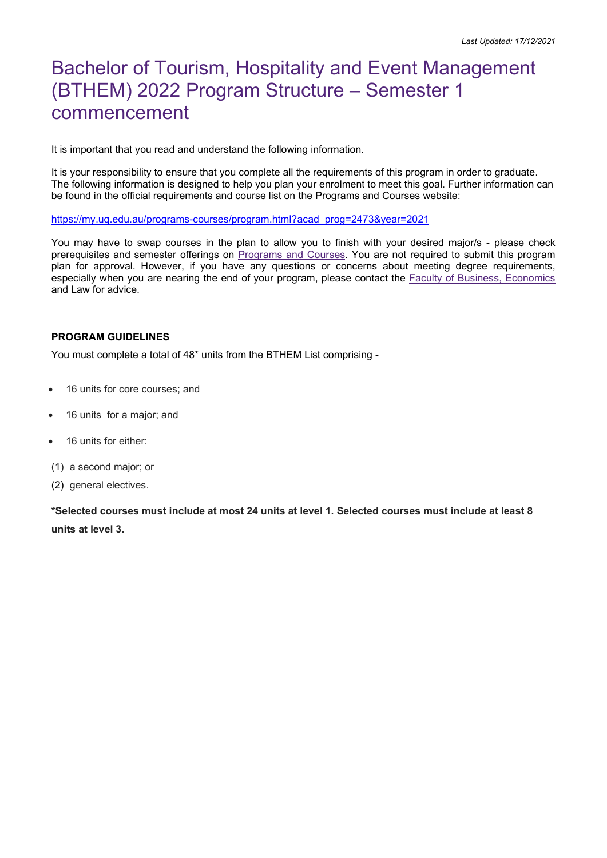# Bachelor of Tourism, Hospitality and Event Management (BTHEM) 2022 Program Structure – Semester 1 commencement

It is important that you read and understand the following information.

It is your responsibility to ensure that you complete all the requirements of this program in order to graduate. The following information is designed to help you plan your enrolment to meet this goal. Further information can be found in the official requirements and course list on the Programs and Courses website:

https://my.uq.edu.au/programs-courses/program.html?acad\_prog=2473&year=2021

You may have to swap courses in the plan to allow you to finish with your desired major/s - please check prerequisites and semester offerings on Programs and Courses. You are not required to submit this program plan for approval. However, if you have any questions or concerns about meeting degree requirements, especially when you are nearing the end of your program, please contact the Faculty of Business, Economics and Law for advice.

#### PROGRAM GUIDELINES

You must complete a total of 48\* units from the BTHEM List comprising -

- 16 units for core courses; and
- 16 units for a major; and
- 16 units for either:
- (1) a second major; or
- (2) general electives.

\*Selected courses must include at most 24 units at level 1. Selected courses must include at least 8 units at level 3.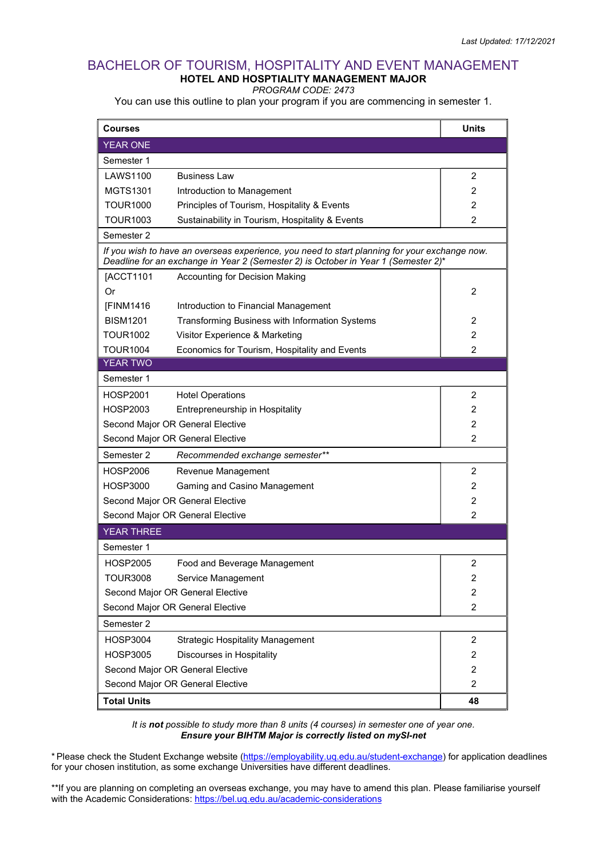#### BACHELOR OF TOURISM, HOSPITALITY AND EVENT MANAGEMENT HOTEL AND HOSPTIALITY MANAGEMENT MAJOR

PROGRAM CODE: 2473

You can use this outline to plan your program if you are commencing in semester 1.

| <b>Courses</b>                                                                                                                                                                      |                                                 | <b>Units</b>   |  |  |
|-------------------------------------------------------------------------------------------------------------------------------------------------------------------------------------|-------------------------------------------------|----------------|--|--|
| <b>YEAR ONE</b>                                                                                                                                                                     |                                                 |                |  |  |
| Semester 1                                                                                                                                                                          |                                                 |                |  |  |
| LAWS1100                                                                                                                                                                            | <b>Business Law</b>                             | 2              |  |  |
| <b>MGTS1301</b>                                                                                                                                                                     | Introduction to Management                      | $\overline{2}$ |  |  |
| <b>TOUR1000</b>                                                                                                                                                                     | Principles of Tourism, Hospitality & Events     | 2              |  |  |
| <b>TOUR1003</b>                                                                                                                                                                     | Sustainability in Tourism, Hospitality & Events | 2              |  |  |
| Semester 2                                                                                                                                                                          |                                                 |                |  |  |
| If you wish to have an overseas experience, you need to start planning for your exchange now.<br>Deadline for an exchange in Year 2 (Semester 2) is October in Year 1 (Semester 2)* |                                                 |                |  |  |
| [ACCT1101                                                                                                                                                                           | Accounting for Decision Making                  |                |  |  |
| Or                                                                                                                                                                                  |                                                 | 2              |  |  |
| [FINM1416                                                                                                                                                                           | Introduction to Financial Management            |                |  |  |
| <b>BISM1201</b>                                                                                                                                                                     | Transforming Business with Information Systems  | 2              |  |  |
| TOUR1002                                                                                                                                                                            | Visitor Experience & Marketing                  | $\overline{2}$ |  |  |
| <b>TOUR1004</b>                                                                                                                                                                     | Economics for Tourism, Hospitality and Events   | 2              |  |  |
| <b>YEAR TWO</b>                                                                                                                                                                     |                                                 |                |  |  |
| Semester 1                                                                                                                                                                          |                                                 |                |  |  |
| HOSP2001                                                                                                                                                                            | <b>Hotel Operations</b>                         | 2              |  |  |
| HOSP2003                                                                                                                                                                            | Entrepreneurship in Hospitality                 | $\overline{2}$ |  |  |
| Second Major OR General Elective                                                                                                                                                    |                                                 | 2              |  |  |
| Second Major OR General Elective                                                                                                                                                    |                                                 | 2              |  |  |
| Semester 2                                                                                                                                                                          | Recommended exchange semester**                 |                |  |  |
| HOSP2006                                                                                                                                                                            | Revenue Management                              | 2              |  |  |
| <b>HOSP3000</b>                                                                                                                                                                     | Gaming and Casino Management                    | 2              |  |  |
| Second Major OR General Elective                                                                                                                                                    |                                                 | 2              |  |  |
| 2<br>Second Major OR General Elective                                                                                                                                               |                                                 |                |  |  |
| <b>YEAR THREE</b>                                                                                                                                                                   |                                                 |                |  |  |
| Semester 1                                                                                                                                                                          |                                                 |                |  |  |
| HOSP2005                                                                                                                                                                            | Food and Beverage Management                    | $\overline{2}$ |  |  |
| <b>TOUR3008</b>                                                                                                                                                                     | Service Management                              | 2              |  |  |
| Second Major OR General Elective                                                                                                                                                    |                                                 | 2              |  |  |
| Second Major OR General Elective                                                                                                                                                    |                                                 | $\overline{2}$ |  |  |
| Semester 2                                                                                                                                                                          |                                                 |                |  |  |
| <b>HOSP3004</b>                                                                                                                                                                     | <b>Strategic Hospitality Management</b>         | 2              |  |  |
| <b>HOSP3005</b>                                                                                                                                                                     | Discourses in Hospitality                       | 2              |  |  |
| Second Major OR General Elective                                                                                                                                                    |                                                 | $\overline{2}$ |  |  |
| Second Major OR General Elective                                                                                                                                                    | $\overline{2}$                                  |                |  |  |
| <b>Total Units</b>                                                                                                                                                                  | 48                                              |                |  |  |

It is not possible to study more than 8 units (4 courses) in semester one of year one. Ensure your BIHTM Major is correctly listed on mySI-net

\* Please check the Student Exchange website (https://employability.uq.edu.au/student-exchange) for application deadlines for your chosen institution, as some exchange Universities have different deadlines.

\*\*If you are planning on completing an overseas exchange, you may have to amend this plan. Please familiarise yourself with the Academic Considerations: https://bel.uq.edu.au/academic-considerations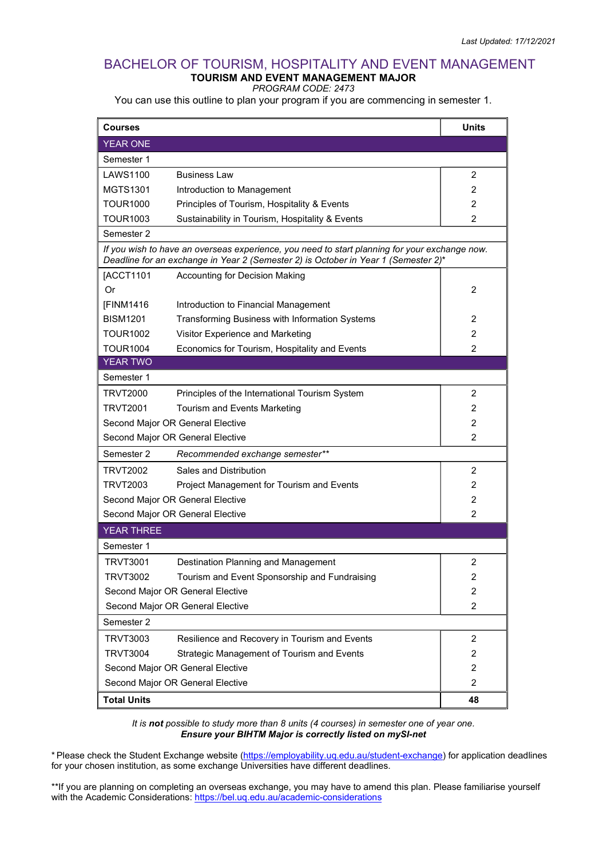#### BACHELOR OF TOURISM, HOSPITALITY AND EVENT MANAGEMENT TOURISM AND EVENT MANAGEMENT MAJOR

PROGRAM CODE: 2473

You can use this outline to plan your program if you are commencing in semester 1.

| <b>Courses</b>                                                                                                                                                                      |                                                 | <b>Units</b>   |  |  |
|-------------------------------------------------------------------------------------------------------------------------------------------------------------------------------------|-------------------------------------------------|----------------|--|--|
| <b>YEAR ONE</b>                                                                                                                                                                     |                                                 |                |  |  |
| Semester 1                                                                                                                                                                          |                                                 |                |  |  |
| <b>LAWS1100</b>                                                                                                                                                                     | <b>Business Law</b>                             | 2              |  |  |
| <b>MGTS1301</b>                                                                                                                                                                     | Introduction to Management                      | $\overline{2}$ |  |  |
| TOUR1000                                                                                                                                                                            | Principles of Tourism, Hospitality & Events     | 2              |  |  |
| TOUR1003                                                                                                                                                                            | Sustainability in Tourism, Hospitality & Events | 2              |  |  |
| Semester 2                                                                                                                                                                          |                                                 |                |  |  |
| If you wish to have an overseas experience, you need to start planning for your exchange now.<br>Deadline for an exchange in Year 2 (Semester 2) is October in Year 1 (Semester 2)* |                                                 |                |  |  |
| [ACCT1101                                                                                                                                                                           | Accounting for Decision Making                  |                |  |  |
| Or                                                                                                                                                                                  |                                                 | 2              |  |  |
| [FINM1416                                                                                                                                                                           | Introduction to Financial Management            |                |  |  |
| <b>BISM1201</b>                                                                                                                                                                     | Transforming Business with Information Systems  | 2              |  |  |
| TOUR1002                                                                                                                                                                            | Visitor Experience and Marketing                | 2              |  |  |
| <b>TOUR1004</b>                                                                                                                                                                     | Economics for Tourism, Hospitality and Events   | $\mathfrak{p}$ |  |  |
| <b>YEAR TWO</b>                                                                                                                                                                     |                                                 |                |  |  |
| Semester 1                                                                                                                                                                          |                                                 |                |  |  |
| <b>TRVT2000</b>                                                                                                                                                                     | Principles of the International Tourism System  | 2              |  |  |
| TRVT2001                                                                                                                                                                            | Tourism and Events Marketing                    | 2              |  |  |
| Second Major OR General Elective                                                                                                                                                    |                                                 | 2              |  |  |
| Second Major OR General Elective                                                                                                                                                    |                                                 | 2              |  |  |
| Semester 2                                                                                                                                                                          | Recommended exchange semester**                 |                |  |  |
| TRVT2002                                                                                                                                                                            | Sales and Distribution                          | 2              |  |  |
| <b>TRVT2003</b>                                                                                                                                                                     | Project Management for Tourism and Events       | 2              |  |  |
| Second Major OR General Elective                                                                                                                                                    |                                                 | 2              |  |  |
| $\overline{2}$<br>Second Major OR General Elective                                                                                                                                  |                                                 |                |  |  |
| <b>YEAR THREE</b>                                                                                                                                                                   |                                                 |                |  |  |
| Semester 1                                                                                                                                                                          |                                                 |                |  |  |
| TRVT3001                                                                                                                                                                            | Destination Planning and Management             | $\overline{2}$ |  |  |
| <b>TRVT3002</b>                                                                                                                                                                     | Tourism and Event Sponsorship and Fundraising   | 2              |  |  |
| Second Major OR General Elective                                                                                                                                                    |                                                 | 2              |  |  |
| Second Major OR General Elective                                                                                                                                                    |                                                 | $\overline{2}$ |  |  |
| Semester 2                                                                                                                                                                          |                                                 |                |  |  |
| <b>TRVT3003</b>                                                                                                                                                                     | Resilience and Recovery in Tourism and Events   | $\overline{2}$ |  |  |
| <b>TRVT3004</b>                                                                                                                                                                     | Strategic Management of Tourism and Events      | 2              |  |  |
| Second Major OR General Elective                                                                                                                                                    |                                                 | $\overline{2}$ |  |  |
| Second Major OR General Elective                                                                                                                                                    | $\overline{2}$                                  |                |  |  |
| <b>Total Units</b>                                                                                                                                                                  |                                                 | 48             |  |  |

It is not possible to study more than 8 units (4 courses) in semester one of year one. Ensure your BIHTM Major is correctly listed on mySI-net

\* Please check the Student Exchange website (https://employability.uq.edu.au/student-exchange) for application deadlines for your chosen institution, as some exchange Universities have different deadlines.

\*\*If you are planning on completing an overseas exchange, you may have to amend this plan. Please familiarise yourself with the Academic Considerations: https://bel.uq.edu.au/academic-considerations